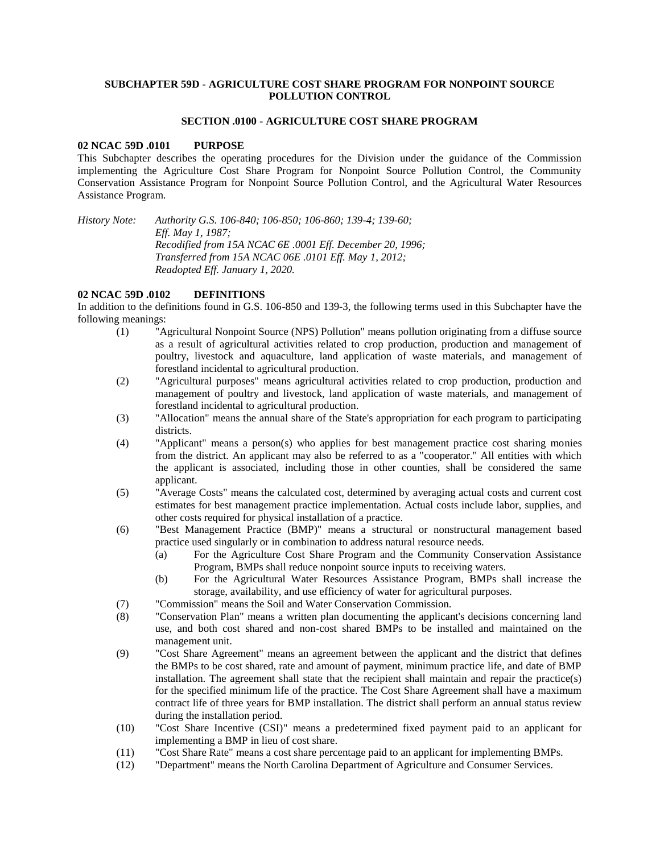## **SUBCHAPTER 59D - AGRICULTURE COST SHARE PROGRAM FOR NONPOINT SOURCE POLLUTION CONTROL**

#### **SECTION .0100 - AGRICULTURE COST SHARE PROGRAM**

#### **02 NCAC 59D .0101 PURPOSE**

This Subchapter describes the operating procedures for the Division under the guidance of the Commission implementing the Agriculture Cost Share Program for Nonpoint Source Pollution Control, the Community Conservation Assistance Program for Nonpoint Source Pollution Control, and the Agricultural Water Resources Assistance Program.

*History Note: Authority G.S. 106-840; 106-850; 106-860; 139-4; 139-60; Eff. May 1, 1987; Recodified from 15A NCAC 6E .0001 Eff. December 20, 1996; Transferred from 15A NCAC 06E .0101 Eff. May 1, 2012; Readopted Eff. January 1, 2020.*

#### **02 NCAC 59D .0102 DEFINITIONS**

In addition to the definitions found in G.S. 106-850 and 139-3, the following terms used in this Subchapter have the following meanings:

- (1) "Agricultural Nonpoint Source (NPS) Pollution" means pollution originating from a diffuse source as a result of agricultural activities related to crop production, production and management of poultry, livestock and aquaculture, land application of waste materials, and management of forestland incidental to agricultural production.
- (2) "Agricultural purposes" means agricultural activities related to crop production, production and management of poultry and livestock, land application of waste materials, and management of forestland incidental to agricultural production.
- (3) "Allocation" means the annual share of the State's appropriation for each program to participating districts.
- (4) "Applicant" means a person(s) who applies for best management practice cost sharing monies from the district. An applicant may also be referred to as a "cooperator." All entities with which the applicant is associated, including those in other counties, shall be considered the same applicant.
- (5) "Average Costs" means the calculated cost, determined by averaging actual costs and current cost estimates for best management practice implementation. Actual costs include labor, supplies, and other costs required for physical installation of a practice.
- (6) "Best Management Practice (BMP)" means a structural or nonstructural management based practice used singularly or in combination to address natural resource needs.
	- (a) For the Agriculture Cost Share Program and the Community Conservation Assistance Program, BMPs shall reduce nonpoint source inputs to receiving waters.
	- (b) For the Agricultural Water Resources Assistance Program, BMPs shall increase the storage, availability, and use efficiency of water for agricultural purposes.
- (7) "Commission" means the Soil and Water Conservation Commission.
- (8) "Conservation Plan" means a written plan documenting the applicant's decisions concerning land use, and both cost shared and non-cost shared BMPs to be installed and maintained on the management unit.
- (9) "Cost Share Agreement" means an agreement between the applicant and the district that defines the BMPs to be cost shared, rate and amount of payment, minimum practice life, and date of BMP installation. The agreement shall state that the recipient shall maintain and repair the practice(s) for the specified minimum life of the practice. The Cost Share Agreement shall have a maximum contract life of three years for BMP installation. The district shall perform an annual status review during the installation period.
- (10) "Cost Share Incentive (CSI)" means a predetermined fixed payment paid to an applicant for implementing a BMP in lieu of cost share.
- (11) "Cost Share Rate" means a cost share percentage paid to an applicant for implementing BMPs.
- (12) "Department" means the North Carolina Department of Agriculture and Consumer Services.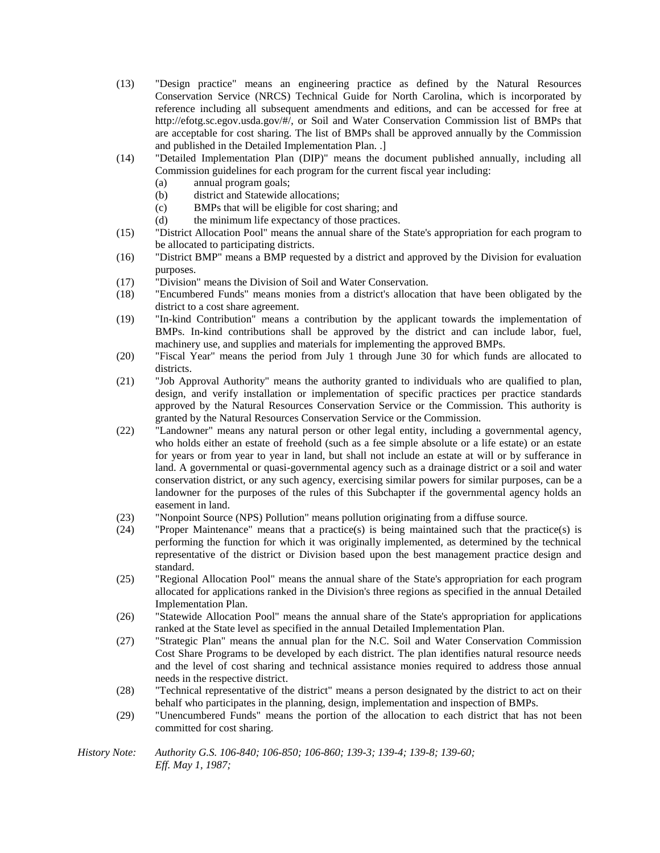- (13) "Design practice" means an engineering practice as defined by the Natural Resources Conservation Service (NRCS) Technical Guide for North Carolina, which is incorporated by reference including all subsequent amendments and editions, and can be accessed for free at http://efotg.sc.egov.usda.gov/#/, or Soil and Water Conservation Commission list of BMPs that are acceptable for cost sharing. The list of BMPs shall be approved annually by the Commission and published in the Detailed Implementation Plan. .]
- (14) "Detailed Implementation Plan (DIP)" means the document published annually, including all Commission guidelines for each program for the current fiscal year including:
	- (a) annual program goals;
	- (b) district and Statewide allocations;
	- (c) BMPs that will be eligible for cost sharing; and
	- (d) the minimum life expectancy of those practices.
- (15) "District Allocation Pool" means the annual share of the State's appropriation for each program to be allocated to participating districts.
- (16) "District BMP" means a BMP requested by a district and approved by the Division for evaluation purposes.
- (17) "Division" means the Division of Soil and Water Conservation.
- (18) "Encumbered Funds" means monies from a district's allocation that have been obligated by the district to a cost share agreement.
- (19) "In-kind Contribution" means a contribution by the applicant towards the implementation of BMPs. In-kind contributions shall be approved by the district and can include labor, fuel, machinery use, and supplies and materials for implementing the approved BMPs.
- (20) "Fiscal Year" means the period from July 1 through June 30 for which funds are allocated to districts.
- (21) "Job Approval Authority" means the authority granted to individuals who are qualified to plan, design, and verify installation or implementation of specific practices per practice standards approved by the Natural Resources Conservation Service or the Commission. This authority is granted by the Natural Resources Conservation Service or the Commission.
- (22) "Landowner" means any natural person or other legal entity, including a governmental agency, who holds either an estate of freehold (such as a fee simple absolute or a life estate) or an estate for years or from year to year in land, but shall not include an estate at will or by sufferance in land. A governmental or quasi-governmental agency such as a drainage district or a soil and water conservation district, or any such agency, exercising similar powers for similar purposes, can be a landowner for the purposes of the rules of this Subchapter if the governmental agency holds an easement in land.
- (23) "Nonpoint Source (NPS) Pollution" means pollution originating from a diffuse source.
- (24) "Proper Maintenance" means that a practice(s) is being maintained such that the practice(s) is performing the function for which it was originally implemented, as determined by the technical representative of the district or Division based upon the best management practice design and standard.
- (25) "Regional Allocation Pool" means the annual share of the State's appropriation for each program allocated for applications ranked in the Division's three regions as specified in the annual Detailed Implementation Plan.
- (26) "Statewide Allocation Pool" means the annual share of the State's appropriation for applications ranked at the State level as specified in the annual Detailed Implementation Plan.
- (27) "Strategic Plan" means the annual plan for the N.C. Soil and Water Conservation Commission Cost Share Programs to be developed by each district. The plan identifies natural resource needs and the level of cost sharing and technical assistance monies required to address those annual needs in the respective district.
- (28) "Technical representative of the district" means a person designated by the district to act on their behalf who participates in the planning, design, implementation and inspection of BMPs.
- (29) "Unencumbered Funds" means the portion of the allocation to each district that has not been committed for cost sharing.
- *History Note: Authority G.S. 106-840; 106-850; 106-860; 139-3; 139-4; 139-8; 139-60; Eff. May 1, 1987;*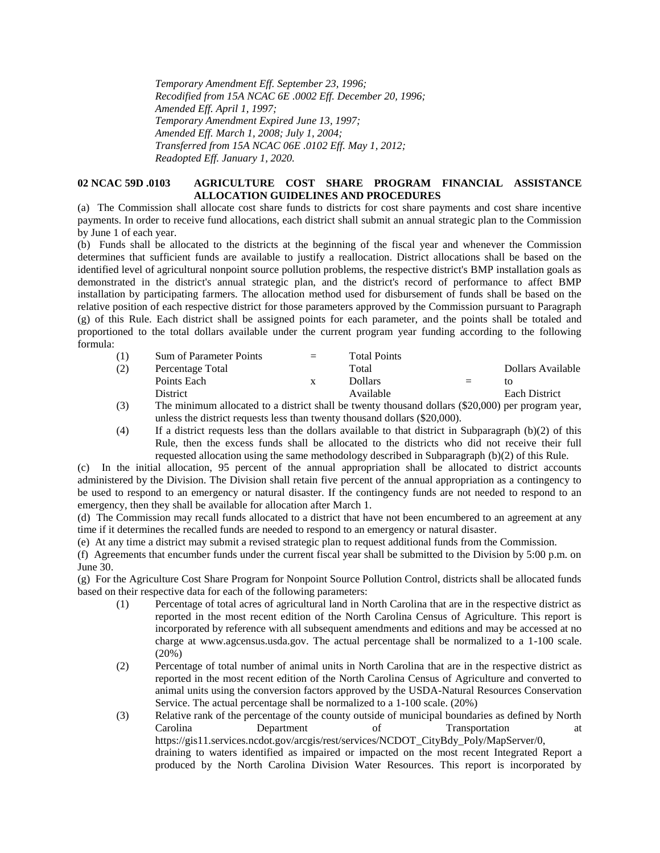*Temporary Amendment Eff. September 23, 1996; Recodified from 15A NCAC 6E .0002 Eff. December 20, 1996; Amended Eff. April 1, 1997; Temporary Amendment Expired June 13, 1997; Amended Eff. March 1, 2008; July 1, 2004; Transferred from 15A NCAC 06E .0102 Eff. May 1, 2012; Readopted Eff. January 1, 2020.*

## **02 NCAC 59D .0103 AGRICULTURE COST SHARE PROGRAM FINANCIAL ASSISTANCE ALLOCATION GUIDELINES AND PROCEDURES**

(a) The Commission shall allocate cost share funds to districts for cost share payments and cost share incentive payments. In order to receive fund allocations, each district shall submit an annual strategic plan to the Commission by June 1 of each year.

(b) Funds shall be allocated to the districts at the beginning of the fiscal year and whenever the Commission determines that sufficient funds are available to justify a reallocation. District allocations shall be based on the identified level of agricultural nonpoint source pollution problems, the respective district's BMP installation goals as demonstrated in the district's annual strategic plan, and the district's record of performance to affect BMP installation by participating farmers. The allocation method used for disbursement of funds shall be based on the relative position of each respective district for those parameters approved by the Commission pursuant to Paragraph (g) of this Rule. Each district shall be assigned points for each parameter, and the points shall be totaled and proportioned to the total dollars available under the current program year funding according to the following formula:

| (1) | Sum of Parameter Points | $=$ | <b>Total Points</b> |          |                      |
|-----|-------------------------|-----|---------------------|----------|----------------------|
| (2) | Percentage Total        |     | Total               |          | Dollars Available    |
|     | Points Each             | X   | <b>Dollars</b>      | $\equiv$ | tΩ                   |
|     | District                |     | Available           |          | <b>Each District</b> |

(3) The minimum allocated to a district shall be twenty thousand dollars (\$20,000) per program year, unless the district requests less than twenty thousand dollars (\$20,000).

(4) If a district requests less than the dollars available to that district in Subparagraph (b)(2) of this Rule, then the excess funds shall be allocated to the districts who did not receive their full requested allocation using the same methodology described in Subparagraph (b)(2) of this Rule.

(c) In the initial allocation, 95 percent of the annual appropriation shall be allocated to district accounts administered by the Division. The Division shall retain five percent of the annual appropriation as a contingency to be used to respond to an emergency or natural disaster. If the contingency funds are not needed to respond to an emergency, then they shall be available for allocation after March 1.

(d) The Commission may recall funds allocated to a district that have not been encumbered to an agreement at any time if it determines the recalled funds are needed to respond to an emergency or natural disaster.

(e) At any time a district may submit a revised strategic plan to request additional funds from the Commission.

(f) Agreements that encumber funds under the current fiscal year shall be submitted to the Division by 5:00 p.m. on June 30.

(g) For the Agriculture Cost Share Program for Nonpoint Source Pollution Control, districts shall be allocated funds based on their respective data for each of the following parameters:

- (1) Percentage of total acres of agricultural land in North Carolina that are in the respective district as reported in the most recent edition of the North Carolina Census of Agriculture. This report is incorporated by reference with all subsequent amendments and editions and may be accessed at no charge at www.agcensus.usda.gov. The actual percentage shall be normalized to a 1-100 scale. (20%)
- (2) Percentage of total number of animal units in North Carolina that are in the respective district as reported in the most recent edition of the North Carolina Census of Agriculture and converted to animal units using the conversion factors approved by the USDA-Natural Resources Conservation Service. The actual percentage shall be normalized to a 1-100 scale. (20%)
- (3) Relative rank of the percentage of the county outside of municipal boundaries as defined by North Carolina Department of Transportation at https://gis11.services.ncdot.gov/arcgis/rest/services/NCDOT\_CityBdy\_Poly/MapServer/0, draining to waters identified as impaired or impacted on the most recent Integrated Report a produced by the North Carolina Division Water Resources. This report is incorporated by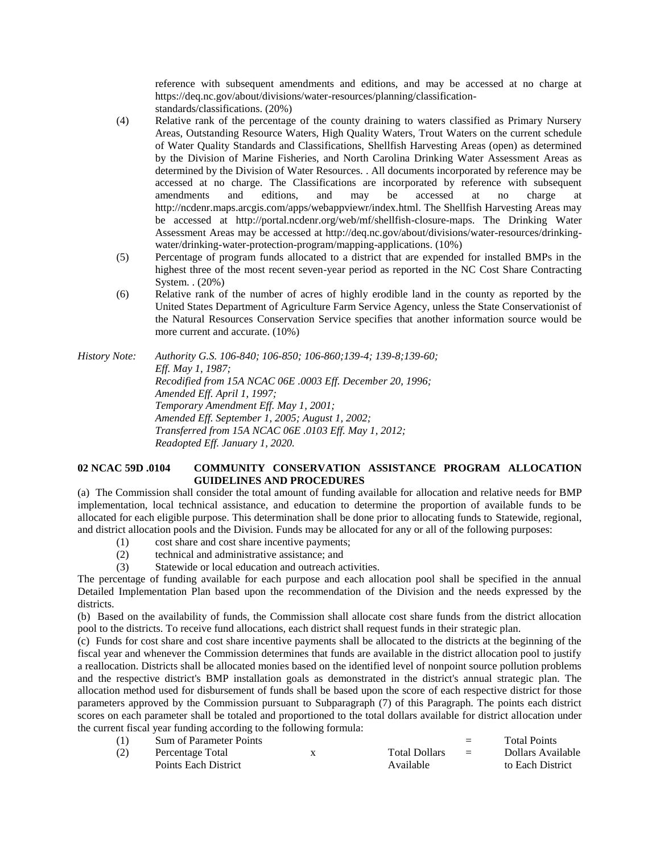reference with subsequent amendments and editions, and may be accessed at no charge at https://deq.nc.gov/about/divisions/water-resources/planning/classificationstandards/classifications. (20%)

- (4) Relative rank of the percentage of the county draining to waters classified as Primary Nursery Areas, Outstanding Resource Waters, High Quality Waters, Trout Waters on the current schedule of Water Quality Standards and Classifications, Shellfish Harvesting Areas (open) as determined by the Division of Marine Fisheries, and North Carolina Drinking Water Assessment Areas as determined by the Division of Water Resources. . All documents incorporated by reference may be accessed at no charge. The Classifications are incorporated by reference with subsequent amendments and editions, and may be accessed at no charge at http://ncdenr.maps.arcgis.com/apps/webappviewr/index.html. The Shellfish Harvesting Areas may be accessed at http://portal.ncdenr.org/web/mf/shellfish-closure-maps. The Drinking Water Assessment Areas may be accessed at http://deq.nc.gov/about/divisions/water-resources/drinkingwater/drinking-water-protection-program/mapping-applications. (10%)
- (5) Percentage of program funds allocated to a district that are expended for installed BMPs in the highest three of the most recent seven-year period as reported in the NC Cost Share Contracting System. . (20%)
- (6) Relative rank of the number of acres of highly erodible land in the county as reported by the United States Department of Agriculture Farm Service Agency, unless the State Conservationist of the Natural Resources Conservation Service specifies that another information source would be more current and accurate. (10%)

*History Note: Authority G.S. 106-840; 106-850; 106-860;139-4; 139-8;139-60; Eff. May 1, 1987; Recodified from 15A NCAC 06E .0003 Eff. December 20, 1996; Amended Eff. April 1, 1997; Temporary Amendment Eff. May 1, 2001; Amended Eff. September 1, 2005; August 1, 2002; Transferred from 15A NCAC 06E .0103 Eff. May 1, 2012; Readopted Eff. January 1, 2020.*

## **02 NCAC 59D .0104 COMMUNITY CONSERVATION ASSISTANCE PROGRAM ALLOCATION GUIDELINES AND PROCEDURES**

(a) The Commission shall consider the total amount of funding available for allocation and relative needs for BMP implementation, local technical assistance, and education to determine the proportion of available funds to be allocated for each eligible purpose. This determination shall be done prior to allocating funds to Statewide, regional, and district allocation pools and the Division. Funds may be allocated for any or all of the following purposes:

- (1) cost share and cost share incentive payments;
- (2) technical and administrative assistance; and
- (3) Statewide or local education and outreach activities.

The percentage of funding available for each purpose and each allocation pool shall be specified in the annual Detailed Implementation Plan based upon the recommendation of the Division and the needs expressed by the districts.

(b) Based on the availability of funds, the Commission shall allocate cost share funds from the district allocation pool to the districts. To receive fund allocations, each district shall request funds in their strategic plan.

(c) Funds for cost share and cost share incentive payments shall be allocated to the districts at the beginning of the fiscal year and whenever the Commission determines that funds are available in the district allocation pool to justify a reallocation. Districts shall be allocated monies based on the identified level of nonpoint source pollution problems and the respective district's BMP installation goals as demonstrated in the district's annual strategic plan. The allocation method used for disbursement of funds shall be based upon the score of each respective district for those parameters approved by the Commission pursuant to Subparagraph (7) of this Paragraph. The points each district scores on each parameter shall be totaled and proportioned to the total dollars available for district allocation under the current fiscal year funding according to the following formula:

| (1) | Sum of Parameter Points |                      | $=$      | <b>Total Points</b> |
|-----|-------------------------|----------------------|----------|---------------------|
| (2) | Percentage Total        | <b>Total Dollars</b> | $\equiv$ | Dollars Available   |
|     | Points Each District    | Available            |          | to Each District    |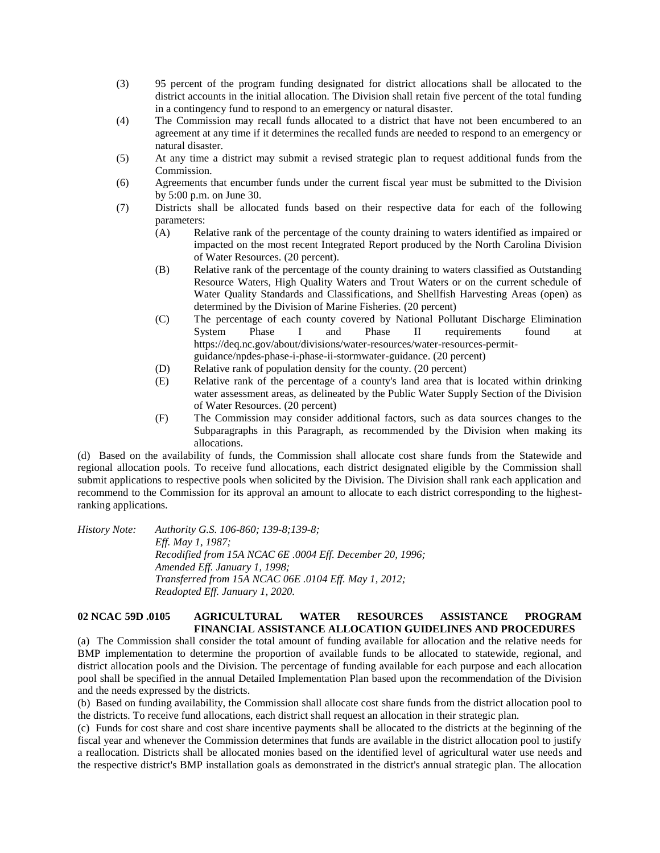- (3) 95 percent of the program funding designated for district allocations shall be allocated to the district accounts in the initial allocation. The Division shall retain five percent of the total funding in a contingency fund to respond to an emergency or natural disaster.
- (4) The Commission may recall funds allocated to a district that have not been encumbered to an agreement at any time if it determines the recalled funds are needed to respond to an emergency or natural disaster.
- (5) At any time a district may submit a revised strategic plan to request additional funds from the Commission.
- (6) Agreements that encumber funds under the current fiscal year must be submitted to the Division by 5:00 p.m. on June 30.
- (7) Districts shall be allocated funds based on their respective data for each of the following parameters:
	- (A) Relative rank of the percentage of the county draining to waters identified as impaired or impacted on the most recent Integrated Report produced by the North Carolina Division of Water Resources. (20 percent).
	- (B) Relative rank of the percentage of the county draining to waters classified as Outstanding Resource Waters, High Quality Waters and Trout Waters or on the current schedule of Water Quality Standards and Classifications, and Shellfish Harvesting Areas (open) as determined by the Division of Marine Fisheries. (20 percent)
	- (C) The percentage of each county covered by National Pollutant Discharge Elimination System Phase I and Phase II requirements found at https://deq.nc.gov/about/divisions/water-resources/water-resources-permitguidance/npdes-phase-i-phase-ii-stormwater-guidance. (20 percent)
	- (D) Relative rank of population density for the county. (20 percent)
	- (E) Relative rank of the percentage of a county's land area that is located within drinking water assessment areas, as delineated by the Public Water Supply Section of the Division of Water Resources. (20 percent)
	- (F) The Commission may consider additional factors, such as data sources changes to the Subparagraphs in this Paragraph, as recommended by the Division when making its allocations.

(d) Based on the availability of funds, the Commission shall allocate cost share funds from the Statewide and regional allocation pools. To receive fund allocations, each district designated eligible by the Commission shall submit applications to respective pools when solicited by the Division. The Division shall rank each application and recommend to the Commission for its approval an amount to allocate to each district corresponding to the highestranking applications.

*History Note: Authority G.S. 106-860; 139-8;139-8; Eff. May 1, 1987; Recodified from 15A NCAC 6E .0004 Eff. December 20, 1996; Amended Eff. January 1, 1998; Transferred from 15A NCAC 06E .0104 Eff. May 1, 2012; Readopted Eff. January 1, 2020.*

#### **02 NCAC 59D .0105 AGRICULTURAL WATER RESOURCES ASSISTANCE PROGRAM FINANCIAL ASSISTANCE ALLOCATION GUIDELINES AND PROCEDURES**

(a) The Commission shall consider the total amount of funding available for allocation and the relative needs for BMP implementation to determine the proportion of available funds to be allocated to statewide, regional, and district allocation pools and the Division. The percentage of funding available for each purpose and each allocation pool shall be specified in the annual Detailed Implementation Plan based upon the recommendation of the Division and the needs expressed by the districts.

(b) Based on funding availability, the Commission shall allocate cost share funds from the district allocation pool to the districts. To receive fund allocations, each district shall request an allocation in their strategic plan.

(c) Funds for cost share and cost share incentive payments shall be allocated to the districts at the beginning of the fiscal year and whenever the Commission determines that funds are available in the district allocation pool to justify a reallocation. Districts shall be allocated monies based on the identified level of agricultural water use needs and the respective district's BMP installation goals as demonstrated in the district's annual strategic plan. The allocation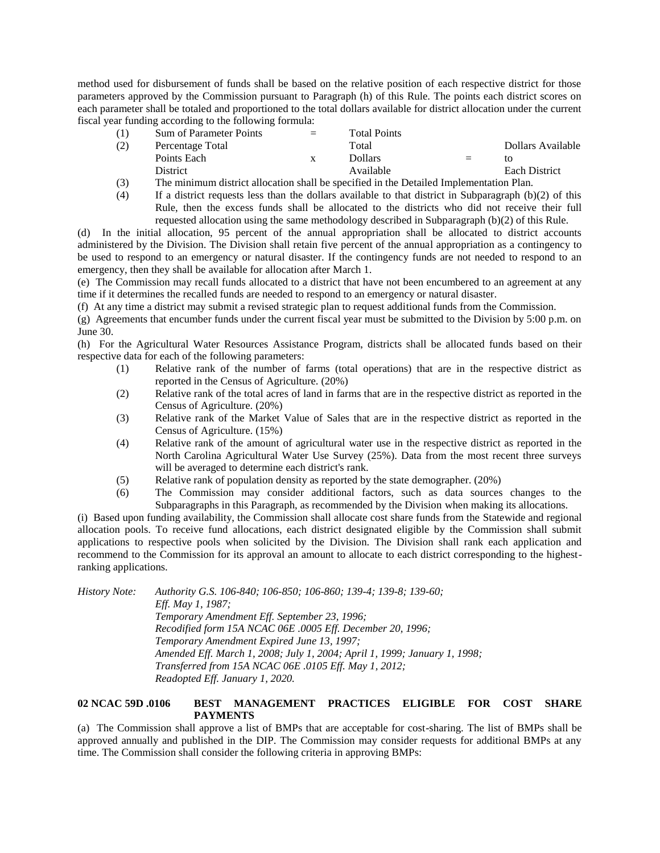method used for disbursement of funds shall be based on the relative position of each respective district for those parameters approved by the Commission pursuant to Paragraph (h) of this Rule. The points each district scores on each parameter shall be totaled and proportioned to the total dollars available for district allocation under the current fiscal year funding according to the following formula:

|        | Sum of Parameter Points | $=$ | <b>Total Points</b> |     |                      |
|--------|-------------------------|-----|---------------------|-----|----------------------|
| (2)    | Percentage Total        |     | Total               |     | Dollars Available    |
|        | Points Each             |     | Dollars             | $=$ | tΟ                   |
|        | <b>District</b>         |     | Available           |     | <b>Each District</b> |
| $\sim$ | $\sim$                  |     |                     |     |                      |

(3) The minimum district allocation shall be specified in the Detailed Implementation Plan. (4) If a district requests less than the dollars available to that district in Subparagraph (b)(2) of this Rule, then the excess funds shall be allocated to the districts who did not receive their full requested allocation using the same methodology described in Subparagraph (b)(2) of this Rule.

(d) In the initial allocation, 95 percent of the annual appropriation shall be allocated to district accounts administered by the Division. The Division shall retain five percent of the annual appropriation as a contingency to be used to respond to an emergency or natural disaster. If the contingency funds are not needed to respond to an emergency, then they shall be available for allocation after March 1.

(e) The Commission may recall funds allocated to a district that have not been encumbered to an agreement at any time if it determines the recalled funds are needed to respond to an emergency or natural disaster.

(f) At any time a district may submit a revised strategic plan to request additional funds from the Commission.

(g) Agreements that encumber funds under the current fiscal year must be submitted to the Division by 5:00 p.m. on June 30.

(h) For the Agricultural Water Resources Assistance Program, districts shall be allocated funds based on their respective data for each of the following parameters:

- (1) Relative rank of the number of farms (total operations) that are in the respective district as reported in the Census of Agriculture. (20%)
- (2) Relative rank of the total acres of land in farms that are in the respective district as reported in the Census of Agriculture. (20%)
- (3) Relative rank of the Market Value of Sales that are in the respective district as reported in the Census of Agriculture. (15%)
- (4) Relative rank of the amount of agricultural water use in the respective district as reported in the North Carolina Agricultural Water Use Survey (25%). Data from the most recent three surveys will be averaged to determine each district's rank.
- (5) Relative rank of population density as reported by the state demographer. (20%)
- (6) The Commission may consider additional factors, such as data sources changes to the Subparagraphs in this Paragraph, as recommended by the Division when making its allocations.

(i) Based upon funding availability, the Commission shall allocate cost share funds from the Statewide and regional allocation pools. To receive fund allocations, each district designated eligible by the Commission shall submit applications to respective pools when solicited by the Division. The Division shall rank each application and recommend to the Commission for its approval an amount to allocate to each district corresponding to the highestranking applications.

*History Note: Authority G.S. 106-840; 106-850; 106-860; 139-4; 139-8; 139-60; Eff. May 1, 1987; Temporary Amendment Eff. September 23, 1996; Recodified form 15A NCAC 06E .0005 Eff. December 20, 1996; Temporary Amendment Expired June 13, 1997; Amended Eff. March 1, 2008; July 1, 2004; April 1, 1999; January 1, 1998; Transferred from 15A NCAC 06E .0105 Eff. May 1, 2012; Readopted Eff. January 1, 2020.*

# **02 NCAC 59D .0106 BEST MANAGEMENT PRACTICES ELIGIBLE FOR COST SHARE PAYMENTS**

(a) The Commission shall approve a list of BMPs that are acceptable for cost-sharing. The list of BMPs shall be approved annually and published in the DIP. The Commission may consider requests for additional BMPs at any time. The Commission shall consider the following criteria in approving BMPs: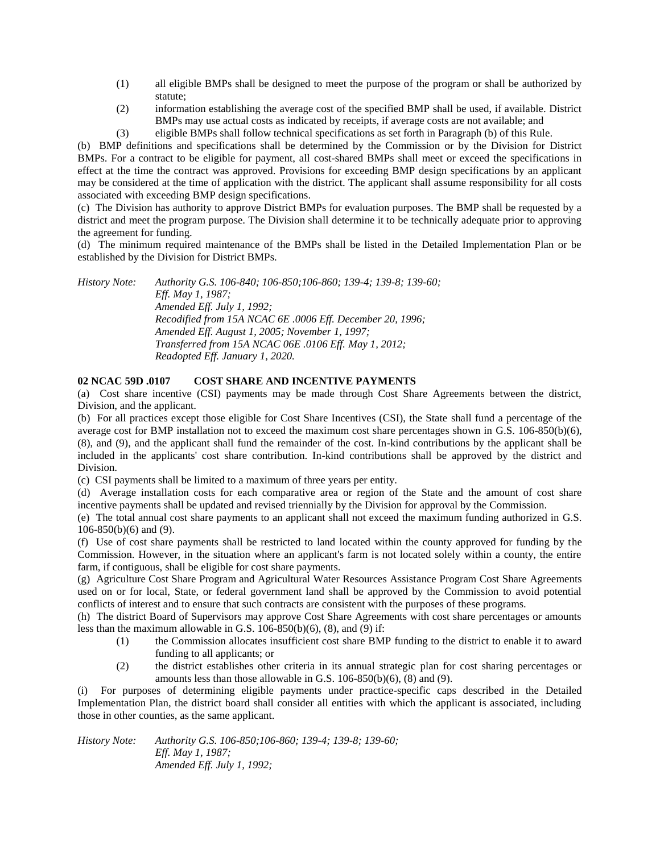- (1) all eligible BMPs shall be designed to meet the purpose of the program or shall be authorized by statute;
- (2) information establishing the average cost of the specified BMP shall be used, if available. District BMPs may use actual costs as indicated by receipts, if average costs are not available; and
- (3) eligible BMPs shall follow technical specifications as set forth in Paragraph (b) of this Rule.

(b) BMP definitions and specifications shall be determined by the Commission or by the Division for District BMPs. For a contract to be eligible for payment, all cost-shared BMPs shall meet or exceed the specifications in effect at the time the contract was approved. Provisions for exceeding BMP design specifications by an applicant may be considered at the time of application with the district. The applicant shall assume responsibility for all costs associated with exceeding BMP design specifications.

(c) The Division has authority to approve District BMPs for evaluation purposes. The BMP shall be requested by a district and meet the program purpose. The Division shall determine it to be technically adequate prior to approving the agreement for funding.

(d) The minimum required maintenance of the BMPs shall be listed in the Detailed Implementation Plan or be established by the Division for District BMPs.

*History Note: Authority G.S. 106-840; 106-850;106-860; 139-4; 139-8; 139-60; Eff. May 1, 1987; Amended Eff. July 1, 1992; Recodified from 15A NCAC 6E .0006 Eff. December 20, 1996; Amended Eff. August 1, 2005; November 1, 1997; Transferred from 15A NCAC 06E .0106 Eff. May 1, 2012; Readopted Eff. January 1, 2020.*

# **02 NCAC 59D .0107 COST SHARE AND INCENTIVE PAYMENTS**

(a) Cost share incentive (CSI) payments may be made through Cost Share Agreements between the district, Division, and the applicant.

(b) For all practices except those eligible for Cost Share Incentives (CSI), the State shall fund a percentage of the average cost for BMP installation not to exceed the maximum cost share percentages shown in G.S. 106-850(b)(6), (8), and (9), and the applicant shall fund the remainder of the cost. In-kind contributions by the applicant shall be included in the applicants' cost share contribution. In-kind contributions shall be approved by the district and Division.

(c) CSI payments shall be limited to a maximum of three years per entity.

(d) Average installation costs for each comparative area or region of the State and the amount of cost share incentive payments shall be updated and revised triennially by the Division for approval by the Commission.

(e) The total annual cost share payments to an applicant shall not exceed the maximum funding authorized in G.S. 106-850(b)(6) and (9).

(f) Use of cost share payments shall be restricted to land located within the county approved for funding by the Commission. However, in the situation where an applicant's farm is not located solely within a county, the entire farm, if contiguous, shall be eligible for cost share payments.

(g) Agriculture Cost Share Program and Agricultural Water Resources Assistance Program Cost Share Agreements used on or for local, State, or federal government land shall be approved by the Commission to avoid potential conflicts of interest and to ensure that such contracts are consistent with the purposes of these programs.

(h) The district Board of Supervisors may approve Cost Share Agreements with cost share percentages or amounts less than the maximum allowable in G.S. 106-850(b)(6), (8), and (9) if:

- (1) the Commission allocates insufficient cost share BMP funding to the district to enable it to award funding to all applicants; or
- (2) the district establishes other criteria in its annual strategic plan for cost sharing percentages or amounts less than those allowable in G.S. 106-850(b)(6), (8) and (9).

(i) For purposes of determining eligible payments under practice-specific caps described in the Detailed Implementation Plan, the district board shall consider all entities with which the applicant is associated, including those in other counties, as the same applicant.

*History Note: Authority G.S. 106-850;106-860; 139-4; 139-8; 139-60; Eff. May 1, 1987; Amended Eff. July 1, 1992;*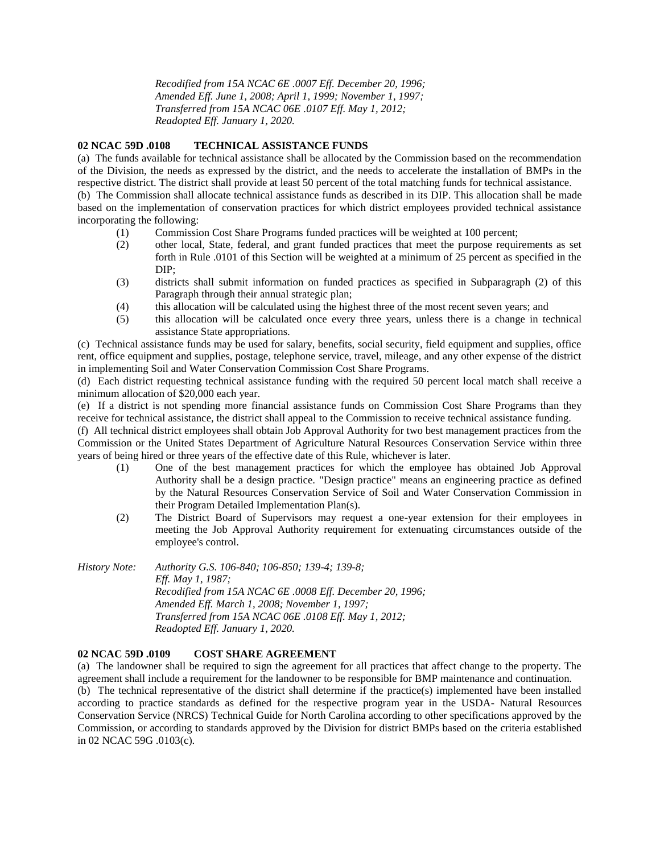*Recodified from 15A NCAC 6E .0007 Eff. December 20, 1996; Amended Eff. June 1, 2008; April 1, 1999; November 1, 1997; Transferred from 15A NCAC 06E .0107 Eff. May 1, 2012; Readopted Eff. January 1, 2020.*

# **02 NCAC 59D .0108 TECHNICAL ASSISTANCE FUNDS**

(a) The funds available for technical assistance shall be allocated by the Commission based on the recommendation of the Division, the needs as expressed by the district, and the needs to accelerate the installation of BMPs in the respective district. The district shall provide at least 50 percent of the total matching funds for technical assistance.

(b) The Commission shall allocate technical assistance funds as described in its DIP. This allocation shall be made based on the implementation of conservation practices for which district employees provided technical assistance incorporating the following:

- (1) Commission Cost Share Programs funded practices will be weighted at 100 percent;
- (2) other local, State, federal, and grant funded practices that meet the purpose requirements as set forth in Rule .0101 of this Section will be weighted at a minimum of 25 percent as specified in the DIP;
- (3) districts shall submit information on funded practices as specified in Subparagraph (2) of this Paragraph through their annual strategic plan;
- (4) this allocation will be calculated using the highest three of the most recent seven years; and
- (5) this allocation will be calculated once every three years, unless there is a change in technical assistance State appropriations.

(c) Technical assistance funds may be used for salary, benefits, social security, field equipment and supplies, office rent, office equipment and supplies, postage, telephone service, travel, mileage, and any other expense of the district in implementing Soil and Water Conservation Commission Cost Share Programs.

(d) Each district requesting technical assistance funding with the required 50 percent local match shall receive a minimum allocation of \$20,000 each year.

(e) If a district is not spending more financial assistance funds on Commission Cost Share Programs than they receive for technical assistance, the district shall appeal to the Commission to receive technical assistance funding.

(f) All technical district employees shall obtain Job Approval Authority for two best management practices from the Commission or the United States Department of Agriculture Natural Resources Conservation Service within three years of being hired or three years of the effective date of this Rule, whichever is later.

- (1) One of the best management practices for which the employee has obtained Job Approval Authority shall be a design practice. "Design practice" means an engineering practice as defined by the Natural Resources Conservation Service of Soil and Water Conservation Commission in their Program Detailed Implementation Plan(s).
- (2) The District Board of Supervisors may request a one-year extension for their employees in meeting the Job Approval Authority requirement for extenuating circumstances outside of the employee's control.

*History Note: Authority G.S. 106-840; 106-850; 139-4; 139-8; Eff. May 1, 1987; Recodified from 15A NCAC 6E .0008 Eff. December 20, 1996; Amended Eff. March 1, 2008; November 1, 1997; Transferred from 15A NCAC 06E .0108 Eff. May 1, 2012; Readopted Eff. January 1, 2020.*

# **02 NCAC 59D .0109 COST SHARE AGREEMENT**

(a) The landowner shall be required to sign the agreement for all practices that affect change to the property. The agreement shall include a requirement for the landowner to be responsible for BMP maintenance and continuation. (b) The technical representative of the district shall determine if the practice(s) implemented have been installed according to practice standards as defined for the respective program year in the USDA- Natural Resources Conservation Service (NRCS) Technical Guide for North Carolina according to other specifications approved by the Commission, or according to standards approved by the Division for district BMPs based on the criteria established in 02 NCAC 59G .0103(c).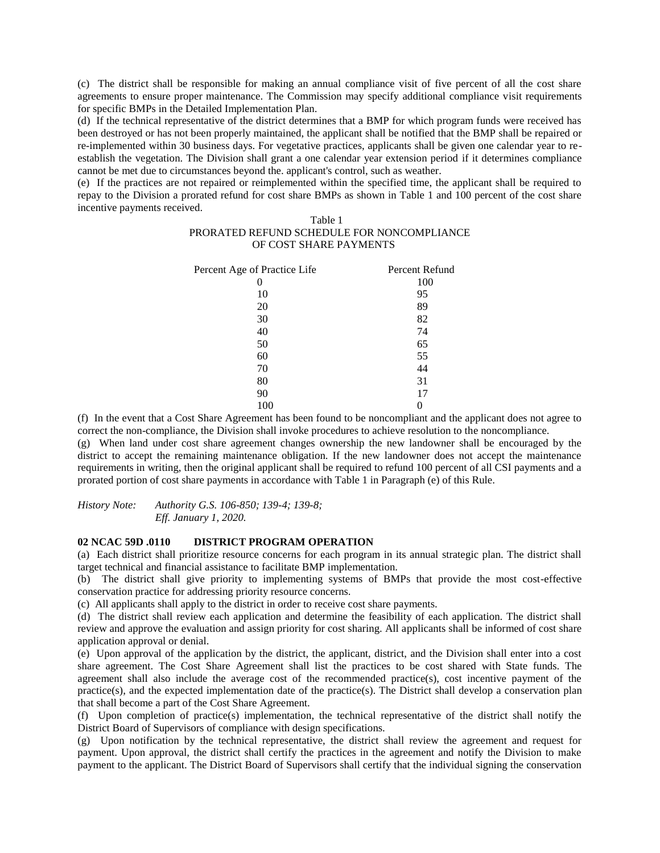(c) The district shall be responsible for making an annual compliance visit of five percent of all the cost share agreements to ensure proper maintenance. The Commission may specify additional compliance visit requirements for specific BMPs in the Detailed Implementation Plan.

(d) If the technical representative of the district determines that a BMP for which program funds were received has been destroyed or has not been properly maintained, the applicant shall be notified that the BMP shall be repaired or re-implemented within 30 business days. For vegetative practices, applicants shall be given one calendar year to reestablish the vegetation. The Division shall grant a one calendar year extension period if it determines compliance cannot be met due to circumstances beyond the. applicant's control, such as weather.

(e) If the practices are not repaired or reimplemented within the specified time, the applicant shall be required to repay to the Division a prorated refund for cost share BMPs as shown in Table 1 and 100 percent of the cost share incentive payments received.

### Table 1 PRORATED REFUND SCHEDULE FOR NONCOMPLIANCE OF COST SHARE PAYMENTS

| Percent Age of Practice Life | Percent Refund |
|------------------------------|----------------|
|                              | 100            |
| 10                           | 95             |
| 20                           | 89             |
| 30                           | 82             |
| 40                           | 74             |
| 50                           | 65             |
| 60                           | 55             |
| 70                           | 44             |
| 80                           | 31             |
| 90                           | 17             |
| 100                          |                |

(f) In the event that a Cost Share Agreement has been found to be noncompliant and the applicant does not agree to correct the non-compliance, the Division shall invoke procedures to achieve resolution to the noncompliance.

(g) When land under cost share agreement changes ownership the new landowner shall be encouraged by the district to accept the remaining maintenance obligation. If the new landowner does not accept the maintenance requirements in writing, then the original applicant shall be required to refund 100 percent of all CSI payments and a prorated portion of cost share payments in accordance with Table 1 in Paragraph (e) of this Rule.

*History Note: Authority G.S. 106-850; 139-4; 139-8;*

*Eff. January 1, 2020.*

# **02 NCAC 59D .0110 DISTRICT PROGRAM OPERATION**

(a) Each district shall prioritize resource concerns for each program in its annual strategic plan. The district shall target technical and financial assistance to facilitate BMP implementation.

(b) The district shall give priority to implementing systems of BMPs that provide the most cost-effective conservation practice for addressing priority resource concerns.

(c) All applicants shall apply to the district in order to receive cost share payments.

(d) The district shall review each application and determine the feasibility of each application. The district shall review and approve the evaluation and assign priority for cost sharing. All applicants shall be informed of cost share application approval or denial.

(e) Upon approval of the application by the district, the applicant, district, and the Division shall enter into a cost share agreement. The Cost Share Agreement shall list the practices to be cost shared with State funds. The agreement shall also include the average cost of the recommended practice(s), cost incentive payment of the practice(s), and the expected implementation date of the practice(s). The District shall develop a conservation plan that shall become a part of the Cost Share Agreement.

(f) Upon completion of practice(s) implementation, the technical representative of the district shall notify the District Board of Supervisors of compliance with design specifications.

(g) Upon notification by the technical representative, the district shall review the agreement and request for payment. Upon approval, the district shall certify the practices in the agreement and notify the Division to make payment to the applicant. The District Board of Supervisors shall certify that the individual signing the conservation